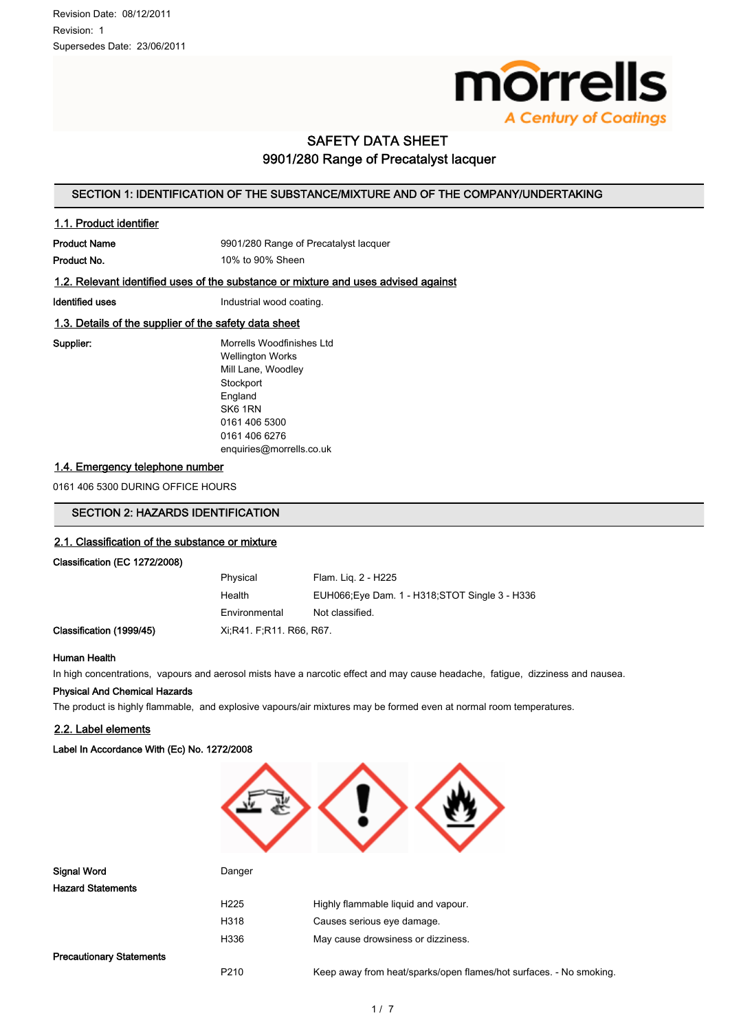

# SAFETY DATA SHEET 9901/280 Range of Precatalyst lacquer

## SECTION 1: IDENTIFICATION OF THE SUBSTANCE/MIXTURE AND OF THE COMPANY/UNDERTAKING

### 1.1. Product identifier

Product Name 9901/280 Range of Precatalyst lacquer

Product No. 2009 10% to 90% Sheen

### 1.2. Relevant identified uses of the substance or mixture and uses advised against

Identified uses **Industrial wood coating.** 

### 1.3. Details of the supplier of the safety data sheet

Supplier: Morrells Woodfinishes Ltd Wellington Works Mill Lane, Woodley **Stockport** England SK6 1RN 0161 406 5300 0161 406 6276 enquiries@morrells.co.uk

#### 1.4. Emergency telephone number

0161 406 5300 DURING OFFICE HOURS

### SECTION 2: HAZARDS IDENTIFICATION

### 2.1. Classification of the substance or mixture

Classification (EC 1272/2008)

| Physical                 | Flam. Lig. 2 - H225                             |
|--------------------------|-------------------------------------------------|
| Health                   | EUH066; Eye Dam. 1 - H318; STOT Single 3 - H336 |
| Environmental            | Not classified.                                 |
| Xi, R41 F, R11 R66, R67. |                                                 |

#### Human Health

In high concentrations, vapours and aerosol mists have a narcotic effect and may cause headache, fatigue, dizziness and nausea.

#### Physical And Chemical Hazards

The product is highly flammable, and explosive vapours/air mixtures may be formed even at normal room temperatures.

#### 2.2. Label elements

Classification (1999/45)

Label In Accordance With (Ec) No. 1272/2008



| <b>Hazard Statements</b>        |                  |                                                                    |
|---------------------------------|------------------|--------------------------------------------------------------------|
|                                 | H <sub>225</sub> | Highly flammable liquid and vapour.                                |
|                                 | H318             | Causes serious eye damage.                                         |
|                                 | H336             | May cause drowsiness or dizziness.                                 |
| <b>Precautionary Statements</b> |                  |                                                                    |
|                                 | P <sub>210</sub> | Keep away from heat/sparks/open flames/hot surfaces. - No smoking. |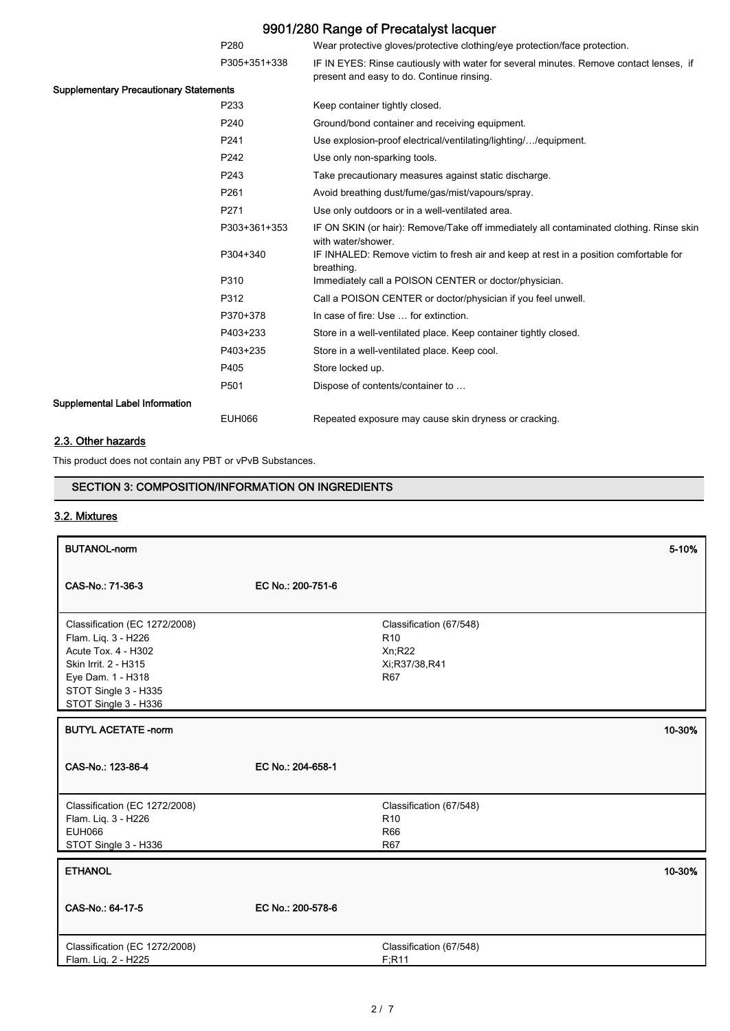|                                               | P280             | Wear protective gloves/protective clothing/eye protection/face protection.                                                          |
|-----------------------------------------------|------------------|-------------------------------------------------------------------------------------------------------------------------------------|
|                                               | P305+351+338     | IF IN EYES: Rinse cautiously with water for several minutes. Remove contact lenses, if<br>present and easy to do. Continue rinsing. |
| <b>Supplementary Precautionary Statements</b> |                  |                                                                                                                                     |
|                                               | P <sub>233</sub> | Keep container tightly closed.                                                                                                      |
|                                               | P240             | Ground/bond container and receiving equipment.                                                                                      |
|                                               | P <sub>241</sub> | Use explosion-proof electrical/ventilating/lighting//equipment.                                                                     |
|                                               | P242             | Use only non-sparking tools.                                                                                                        |
|                                               | P243             | Take precautionary measures against static discharge.                                                                               |
|                                               | P261             | Avoid breathing dust/fume/gas/mist/vapours/spray.                                                                                   |
|                                               | P271             | Use only outdoors or in a well-ventilated area.                                                                                     |
|                                               | P303+361+353     | IF ON SKIN (or hair): Remove/Take off immediately all contaminated clothing. Rinse skin<br>with water/shower.                       |
|                                               | P304+340         | IF INHALED: Remove victim to fresh air and keep at rest in a position comfortable for<br>breathing.                                 |
|                                               | P310             | Immediately call a POISON CENTER or doctor/physician.                                                                               |
|                                               | P312             | Call a POISON CENTER or doctor/physician if you feel unwell.                                                                        |
|                                               | P370+378         | In case of fire: Use  for extinction.                                                                                               |
|                                               | P403+233         | Store in a well-ventilated place. Keep container tightly closed.                                                                    |
|                                               | P403+235         | Store in a well-ventilated place. Keep cool.                                                                                        |
|                                               | P405             | Store locked up.                                                                                                                    |
|                                               | P501             | Dispose of contents/container to                                                                                                    |
| Supplemental Label Information                |                  |                                                                                                                                     |
|                                               | <b>EUH066</b>    | Repeated exposure may cause skin dryness or cracking.                                                                               |

## 2.3. Other hazards

This product does not contain any PBT or vPvB Substances.

## SECTION 3: COMPOSITION/INFORMATION ON INGREDIENTS

## 3.2. Mixtures

| <b>BUTANOL-norm</b>                                                                                                                                                      |                   |                                                                                     | 5-10%  |
|--------------------------------------------------------------------------------------------------------------------------------------------------------------------------|-------------------|-------------------------------------------------------------------------------------|--------|
| CAS-No.: 71-36-3                                                                                                                                                         | EC No.: 200-751-6 |                                                                                     |        |
| Classification (EC 1272/2008)<br>Flam. Liq. 3 - H226<br>Acute Tox. 4 - H302<br>Skin Irrit. 2 - H315<br>Eye Dam. 1 - H318<br>STOT Single 3 - H335<br>STOT Single 3 - H336 |                   | Classification (67/548)<br>R <sub>10</sub><br>Xn;R22<br>Xi;R37/38,R41<br><b>R67</b> |        |
| <b>BUTYL ACETATE -norm</b>                                                                                                                                               |                   |                                                                                     | 10-30% |
| CAS-No.: 123-86-4                                                                                                                                                        | EC No.: 204-658-1 |                                                                                     |        |
| Classification (EC 1272/2008)<br>Flam. Liq. 3 - H226<br><b>EUH066</b><br>STOT Single 3 - H336                                                                            |                   | Classification (67/548)<br>R <sub>10</sub><br><b>R66</b><br><b>R67</b>              |        |
| <b>ETHANOL</b>                                                                                                                                                           |                   |                                                                                     | 10-30% |
| CAS-No.: 64-17-5                                                                                                                                                         | EC No.: 200-578-6 |                                                                                     |        |
| Classification (EC 1272/2008)<br>Flam. Liq. 2 - H225                                                                                                                     |                   | Classification (67/548)<br>F:R11                                                    |        |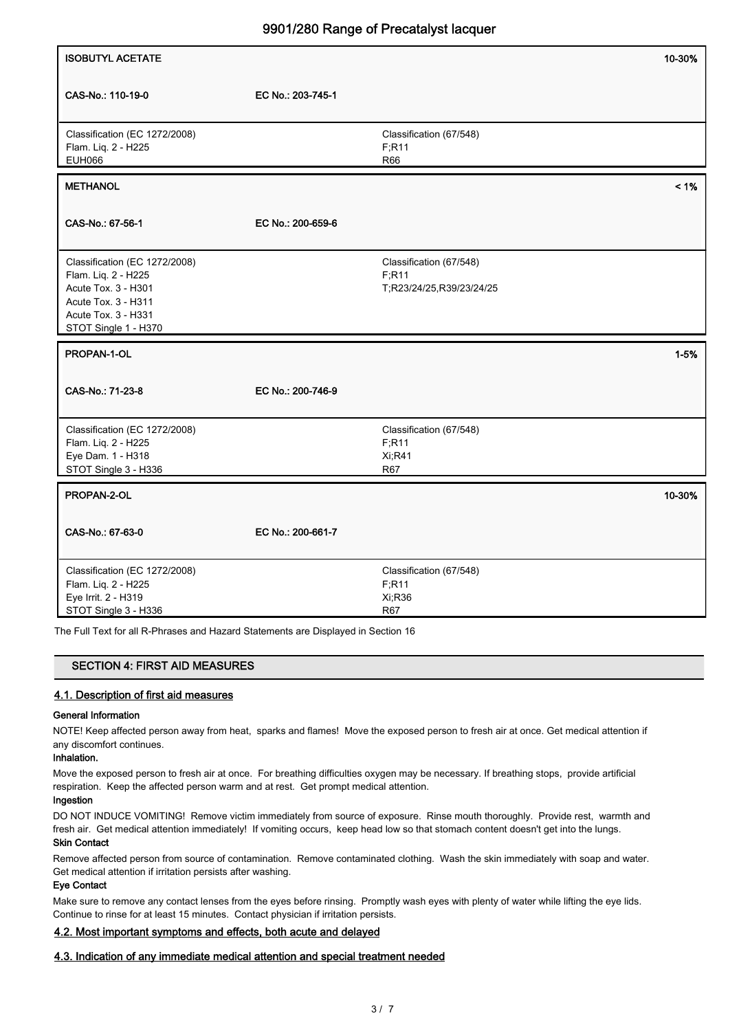|                                                                                                                                                   |                   | -----                                                         |          |
|---------------------------------------------------------------------------------------------------------------------------------------------------|-------------------|---------------------------------------------------------------|----------|
| <b>ISOBUTYL ACETATE</b>                                                                                                                           |                   |                                                               | 10-30%   |
| CAS-No.: 110-19-0                                                                                                                                 | EC No.: 203-745-1 |                                                               |          |
| Classification (EC 1272/2008)<br>Flam. Liq. 2 - H225<br><b>EUH066</b>                                                                             |                   | Classification (67/548)<br>F; R11<br>R66                      |          |
| <b>METHANOL</b>                                                                                                                                   |                   |                                                               | $< 1\%$  |
| CAS-No.: 67-56-1                                                                                                                                  | EC No.: 200-659-6 |                                                               |          |
| Classification (EC 1272/2008)<br>Flam. Liq. 2 - H225<br>Acute Tox. 3 - H301<br>Acute Tox. 3 - H311<br>Acute Tox. 3 - H331<br>STOT Single 1 - H370 |                   | Classification (67/548)<br>F; R11<br>T;R23/24/25,R39/23/24/25 |          |
| PROPAN-1-OL                                                                                                                                       |                   |                                                               | $1 - 5%$ |
| CAS-No.: 71-23-8                                                                                                                                  | EC No.: 200-746-9 |                                                               |          |
| Classification (EC 1272/2008)<br>Flam. Liq. 2 - H225<br>Eye Dam. 1 - H318<br>STOT Single 3 - H336                                                 |                   | Classification (67/548)<br>F; R11<br><b>Xi;R41</b><br>R67     |          |
| PROPAN-2-OL                                                                                                                                       |                   |                                                               | 10-30%   |
| CAS-No.: 67-63-0                                                                                                                                  | EC No.: 200-661-7 |                                                               |          |
| Classification (EC 1272/2008)<br>Flam. Liq. 2 - H225<br>Eye Irrit. 2 - H319<br>STOT Single 3 - H336                                               |                   | Classification (67/548)<br>F; R11<br>Xi, R36<br>R67           |          |

The Full Text for all R-Phrases and Hazard Statements are Displayed in Section 16

| <b>SECTION 4: FIRST AID MEASURES</b> |
|--------------------------------------|
|--------------------------------------|

### 4.1. Description of first aid measures

#### General Information

NOTE! Keep affected person away from heat, sparks and flames! Move the exposed person to fresh air at once. Get medical attention if any discomfort continues.

### Inhalation.

Move the exposed person to fresh air at once. For breathing difficulties oxygen may be necessary. If breathing stops, provide artificial respiration. Keep the affected person warm and at rest. Get prompt medical attention.

### Ingestion

DO NOT INDUCE VOMITING! Remove victim immediately from source of exposure. Rinse mouth thoroughly. Provide rest, warmth and fresh air. Get medical attention immediately! If vomiting occurs, keep head low so that stomach content doesn't get into the lungs.

## Skin Contact

Remove affected person from source of contamination. Remove contaminated clothing. Wash the skin immediately with soap and water. Get medical attention if irritation persists after washing.

#### Eye Contact

Make sure to remove any contact lenses from the eyes before rinsing. Promptly wash eyes with plenty of water while lifting the eye lids. Continue to rinse for at least 15 minutes. Contact physician if irritation persists.

### 4.2. Most important symptoms and effects, both acute and delayed

### 4.3. Indication of any immediate medical attention and special treatment needed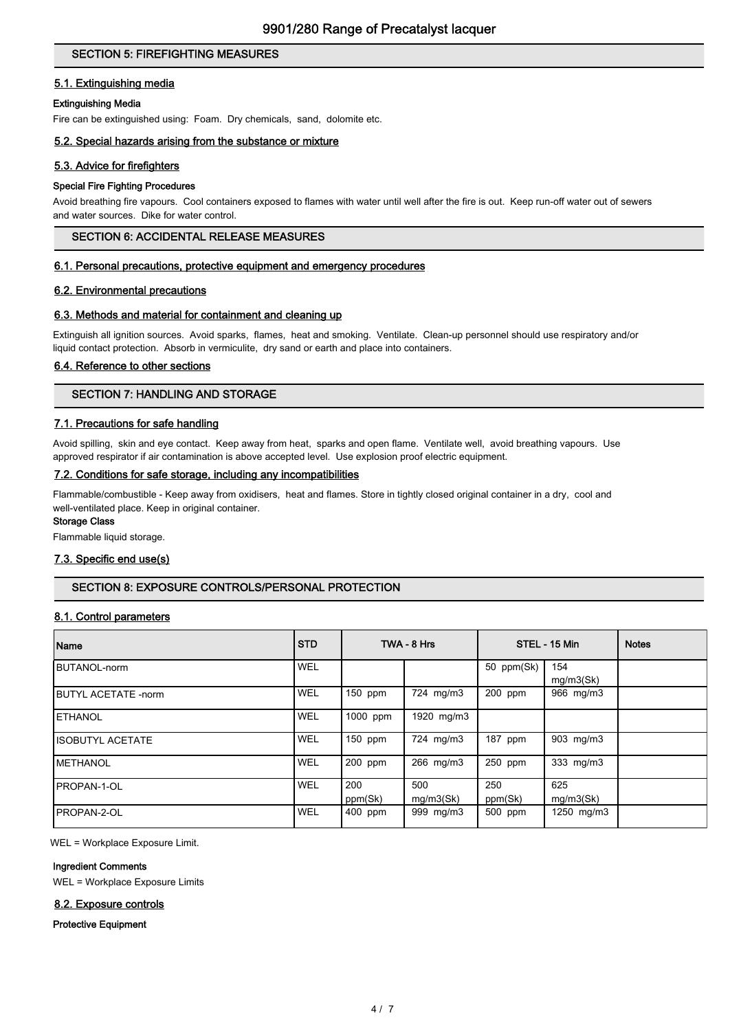## SECTION 5: FIREFIGHTING MEASURES

### 5.1. Extinguishing media

### Extinguishing Media

Fire can be extinguished using: Foam. Dry chemicals, sand, dolomite etc.

### 5.2. Special hazards arising from the substance or mixture

### 5.3. Advice for firefighters

#### Special Fire Fighting Procedures

Avoid breathing fire vapours. Cool containers exposed to flames with water until well after the fire is out. Keep run-off water out of sewers and water sources. Dike for water control.

### SECTION 6: ACCIDENTAL RELEASE MEASURES

#### 6.1. Personal precautions, protective equipment and emergency procedures

### 6.2. Environmental precautions

### 6.3. Methods and material for containment and cleaning up

Extinguish all ignition sources. Avoid sparks, flames, heat and smoking. Ventilate. Clean-up personnel should use respiratory and/or liquid contact protection. Absorb in vermiculite, dry sand or earth and place into containers.

### 6.4. Reference to other sections

### SECTION 7: HANDLING AND STORAGE

### 7.1. Precautions for safe handling

Avoid spilling, skin and eye contact. Keep away from heat, sparks and open flame. Ventilate well, avoid breathing vapours. Use approved respirator if air contamination is above accepted level. Use explosion proof electric equipment.

#### 7.2. Conditions for safe storage, including any incompatibilities

Flammable/combustible - Keep away from oxidisers, heat and flames. Store in tightly closed original container in a dry, cool and well-ventilated place. Keep in original container.

### Storage Class

Flammable liquid storage.

#### 7.3. Specific end use(s)

### SECTION 8: EXPOSURE CONTROLS/PERSONAL PROTECTION

### 8.1. Control parameters

| Name                        | <b>STD</b> |                | TWA - 8 Hrs      |                | STEL - 15 Min    | <b>Notes</b> |
|-----------------------------|------------|----------------|------------------|----------------|------------------|--------------|
| BUTANOL-norm                | WEL        |                |                  | 50 ppm(Sk)     | 154<br>mq/m3(Sk) |              |
| <b>IBUTYL ACETATE -norm</b> | <b>WEL</b> | 150 ppm        | 724 mg/m3        | 200 ppm        | 966 mg/m3        |              |
| <b>IETHANOL</b>             | WEL        | 1000 ppm       | 1920 mg/m3       |                |                  |              |
| IISOBUTYL ACETATE           | WEL        | $150$ ppm      | 724 mg/m3        | 187 ppm        | 903 mg/m3        |              |
| <b>IMETHANOL</b>            | <b>WEL</b> | 200 ppm        | 266 mg/m3        | 250 ppm        | 333 mg/m3        |              |
| <b>IPROPAN-1-OL</b>         | WEL        | 200<br>ppm(Sk) | 500<br>mg/m3(Sk) | 250<br>ppm(Sk) | 625<br>mq/m3(Sk) |              |
| IPROPAN-2-OL                | <b>WEL</b> | 400 ppm        | 999 mg/m3        | 500 ppm        | 1250 mg/m3       |              |

WEL = Workplace Exposure Limit.

### Ingredient Comments

WEL = Workplace Exposure Limits

#### 8.2. Exposure controls

Protective Equipment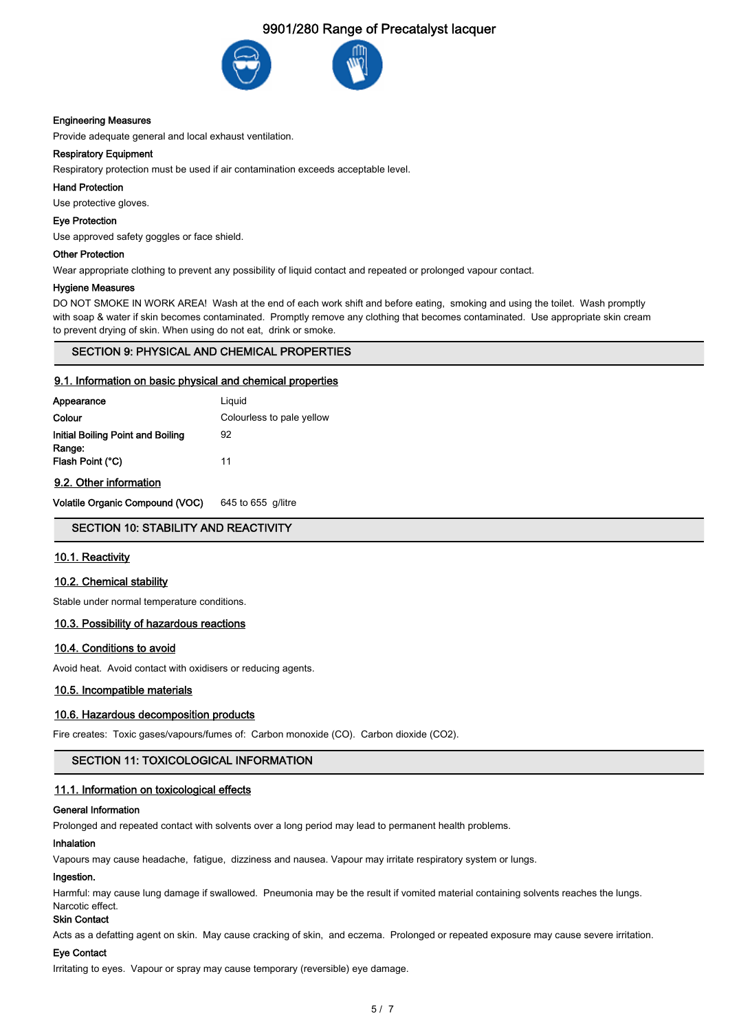

#### Engineering Measures

Provide adequate general and local exhaust ventilation.

#### Respiratory Equipment

Respiratory protection must be used if air contamination exceeds acceptable level.

#### Hand Protection

Use protective gloves.

#### Eye Protection

Use approved safety goggles or face shield.

#### Other Protection

Wear appropriate clothing to prevent any possibility of liquid contact and repeated or prolonged vapour contact.

#### Hygiene Measures

DO NOT SMOKE IN WORK AREA! Wash at the end of each work shift and before eating, smoking and using the toilet. Wash promptly with soap & water if skin becomes contaminated. Promptly remove any clothing that becomes contaminated. Use appropriate skin cream to prevent drying of skin. When using do not eat, drink or smoke.

#### SECTION 9: PHYSICAL AND CHEMICAL PROPERTIES

#### 9.1. Information on basic physical and chemical properties

| Appearance                        | Liquid                    |
|-----------------------------------|---------------------------|
| Colour                            | Colourless to pale yellow |
| Initial Boiling Point and Boiling | 92                        |
| Range:<br>Flash Point (°C)        | 11                        |
| 9.2. Other information            |                           |

Volatile Organic Compound (VOC) 645 to 655 g/litre

## SECTION 10: STABILITY AND REACTIVITY

#### 10.1. Reactivity

#### 10.2. Chemical stability

Stable under normal temperature conditions.

#### 10.3. Possibility of hazardous reactions

#### 10.4. Conditions to avoid

Avoid heat. Avoid contact with oxidisers or reducing agents.

#### 10.5. Incompatible materials

#### 10.6. Hazardous decomposition products

Fire creates: Toxic gases/vapours/fumes of: Carbon monoxide (CO). Carbon dioxide (CO2).

### SECTION 11: TOXICOLOGICAL INFORMATION

#### 11.1. Information on toxicological effects

### General Information

Prolonged and repeated contact with solvents over a long period may lead to permanent health problems.

#### Inhalation

Vapours may cause headache, fatigue, dizziness and nausea. Vapour may irritate respiratory system or lungs.

#### Ingestion.

Harmful: may cause lung damage if swallowed. Pneumonia may be the result if vomited material containing solvents reaches the lungs. Narcotic effect.

#### Skin Contact

Acts as a defatting agent on skin. May cause cracking of skin, and eczema. Prolonged or repeated exposure may cause severe irritation.

#### Eye Contact

Irritating to eyes. Vapour or spray may cause temporary (reversible) eye damage.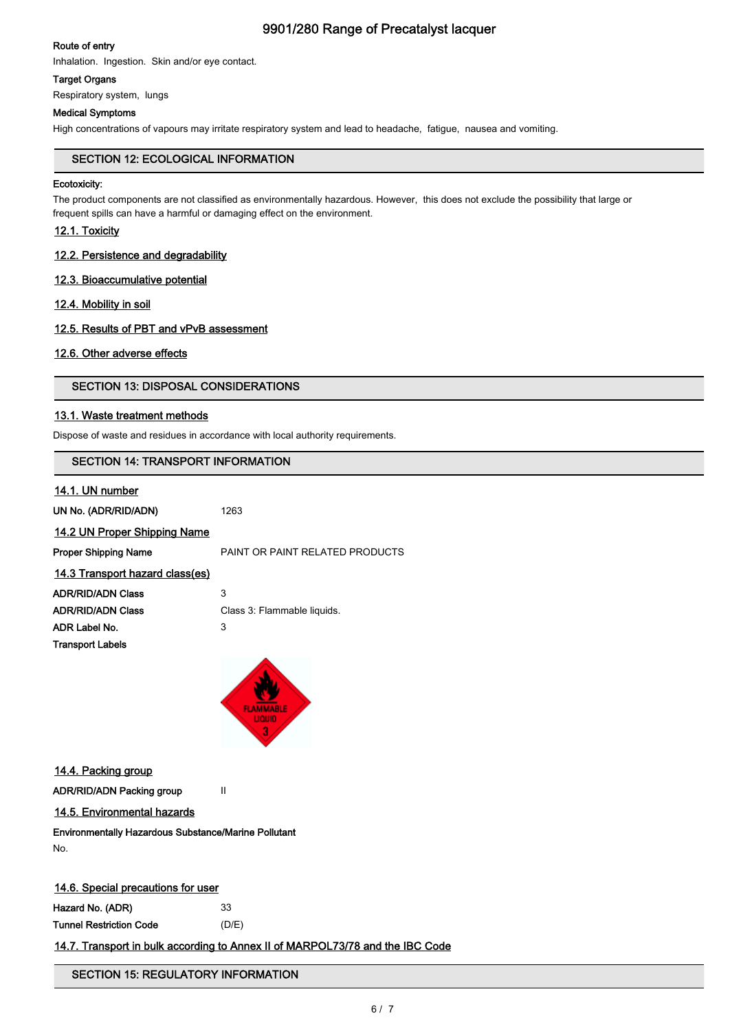### Route of entry

Inhalation. Ingestion. Skin and/or eye contact.

### Target Organs

Respiratory system, lungs

### Medical Symptoms

High concentrations of vapours may irritate respiratory system and lead to headache, fatigue, nausea and vomiting.

### SECTION 12: ECOLOGICAL INFORMATION

#### Ecotoxicity:

The product components are not classified as environmentally hazardous. However, this does not exclude the possibility that large or frequent spills can have a harmful or damaging effect on the environment.

## 12.1. Toxicity

### 12.2. Persistence and degradability

### 12.3. Bioaccumulative potential

### 12.4. Mobility in soil

### 12.5. Results of PBT and vPvB assessment

### 12.6. Other adverse effects

### SECTION 13: DISPOSAL CONSIDERATIONS

### 13.1. Waste treatment methods

Dispose of waste and residues in accordance with local authority requirements.

## SECTION 14: TRANSPORT INFORMATION

### 14.1. UN number

UN No. (ADR/RID/ADN) 1263

### 14.2 UN Proper Shipping Name

| Proper Shipping Name            | PAINT OR PAINT RELATED PRODUCTS |
|---------------------------------|---------------------------------|
| 14.3 Transport hazard class(es) |                                 |
| ADR/RID/ADN Class               | 3                               |
| ADR/RID/ADN Class               | Class 3: Flammable liquids.     |
| ADR Label No.                   | 3                               |
| <b>Transport Labels</b>         |                                 |
|                                 |                                 |



14.4. Packing group

ADR/RID/ADN Packing group II

## 14.5. Environmental hazards

Environmentally Hazardous Substance/Marine Pollutant No.

#### 14.6. Special precautions for user

Hazard No. (ADR) 33 Tunnel Restriction Code (D/E)

### 14.7. Transport in bulk according to Annex II of MARPOL73/78 and the IBC Code

## SECTION 15: REGULATORY INFORMATION